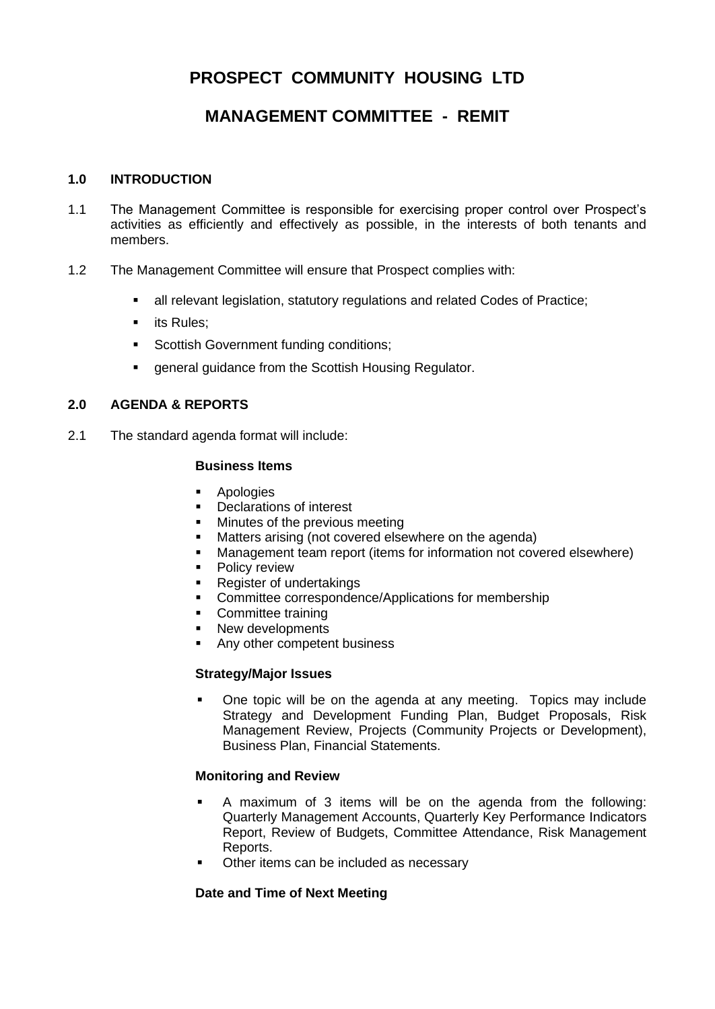# **PROSPECT COMMUNITY HOUSING LTD**

# **MANAGEMENT COMMITTEE - REMIT**

#### **1.0 INTRODUCTION**

- 1.1 The Management Committee is responsible for exercising proper control over Prospect's activities as efficiently and effectively as possible, in the interests of both tenants and members.
- 1.2 The Management Committee will ensure that Prospect complies with:
	- all relevant legislation, statutory regulations and related Codes of Practice;
	- **■** its Rules:
	- **•** Scottish Government funding conditions;
	- general guidance from the Scottish Housing Regulator.

### **2.0 AGENDA & REPORTS**

2.1 The standard agenda format will include:

#### **Business Items**

- Apologies
- Declarations of interest
- Minutes of the previous meeting
- Matters arising (not covered elsewhere on the agenda)
- Management team report (items for information not covered elsewhere)
- Policy review
- **Register of undertakings**
- Committee correspondence/Applications for membership
- Committee training
- New developments
- Any other competent business

#### **Strategy/Major Issues**

One topic will be on the agenda at any meeting. Topics may include Strategy and Development Funding Plan, Budget Proposals, Risk Management Review, Projects (Community Projects or Development), Business Plan, Financial Statements.

#### **Monitoring and Review**

- A maximum of 3 items will be on the agenda from the following: Quarterly Management Accounts, Quarterly Key Performance Indicators Report, Review of Budgets, Committee Attendance, Risk Management Reports.
- Other items can be included as necessary

#### **Date and Time of Next Meeting**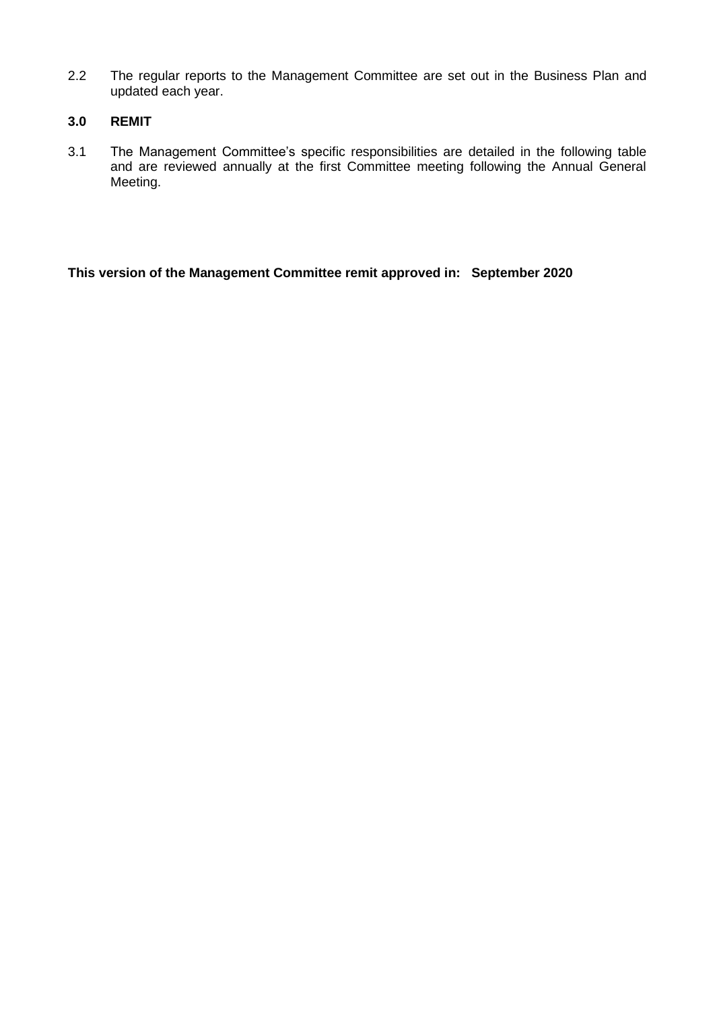2.2 The regular reports to the Management Committee are set out in the Business Plan and updated each year.

### **3.0 REMIT**

3.1 The Management Committee's specific responsibilities are detailed in the following table and are reviewed annually at the first Committee meeting following the Annual General Meeting.

**This version of the Management Committee remit approved in: September 2020**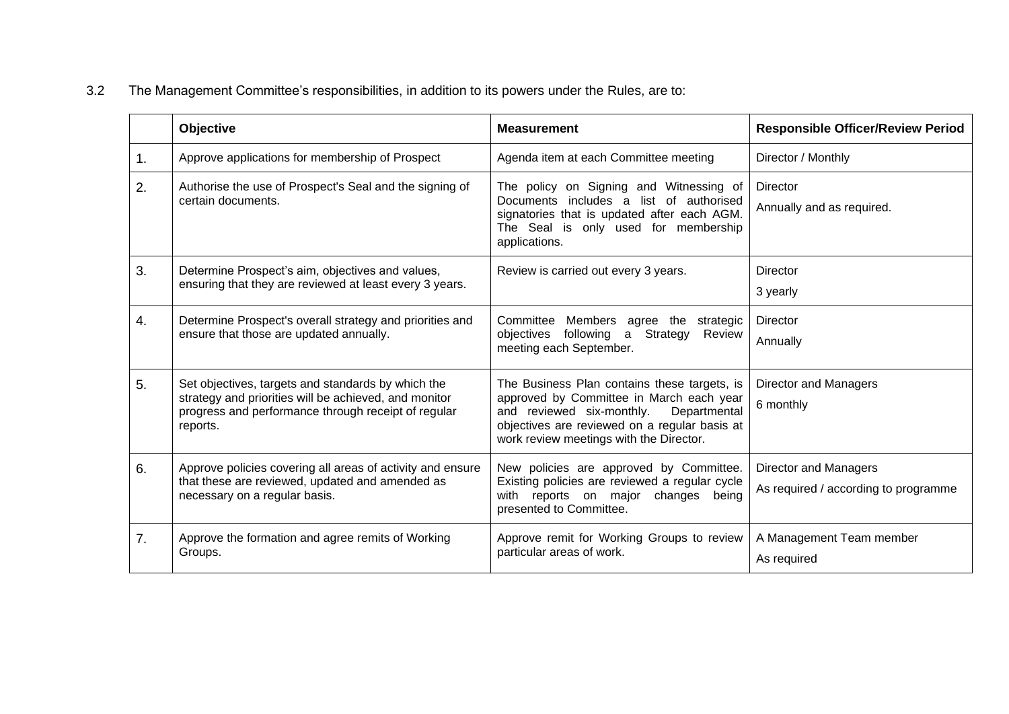# 3.2 The Management Committee's responsibilities, in addition to its powers under the Rules, are to:

|    | Objective                                                                                                                                                                      | <b>Measurement</b>                                                                                                                                                                                                                | <b>Responsible Officer/Review Period</b>                             |
|----|--------------------------------------------------------------------------------------------------------------------------------------------------------------------------------|-----------------------------------------------------------------------------------------------------------------------------------------------------------------------------------------------------------------------------------|----------------------------------------------------------------------|
| 1. | Approve applications for membership of Prospect                                                                                                                                | Agenda item at each Committee meeting                                                                                                                                                                                             | Director / Monthly                                                   |
| 2. | Authorise the use of Prospect's Seal and the signing of<br>certain documents.                                                                                                  | The policy on Signing and Witnessing of<br>Documents includes a list of authorised<br>signatories that is updated after each AGM.<br>The Seal is only used for membership<br>applications.                                        | Director<br>Annually and as required.                                |
| 3. | Determine Prospect's aim, objectives and values,<br>ensuring that they are reviewed at least every 3 years.                                                                    | Review is carried out every 3 years.                                                                                                                                                                                              | Director<br>3 yearly                                                 |
| 4. | Determine Prospect's overall strategy and priorities and<br>ensure that those are updated annually.                                                                            | Committee Members agree the strategic<br>following<br>$\mathsf{a}$<br>Strategy<br>objectives<br>Review<br>meeting each September.                                                                                                 | Director<br>Annually                                                 |
| 5. | Set objectives, targets and standards by which the<br>strategy and priorities will be achieved, and monitor<br>progress and performance through receipt of regular<br>reports. | The Business Plan contains these targets, is<br>approved by Committee in March each year<br>and reviewed six-monthly.<br>Departmental<br>objectives are reviewed on a regular basis at<br>work review meetings with the Director. | <b>Director and Managers</b><br>6 monthly                            |
| 6. | Approve policies covering all areas of activity and ensure<br>that these are reviewed, updated and amended as<br>necessary on a regular basis.                                 | New policies are approved by Committee.<br>Existing policies are reviewed a regular cycle<br>with reports on major changes<br>beina<br>presented to Committee.                                                                    | <b>Director and Managers</b><br>As required / according to programme |
| 7. | Approve the formation and agree remits of Working<br>Groups.                                                                                                                   | Approve remit for Working Groups to review<br>particular areas of work.                                                                                                                                                           | A Management Team member<br>As required                              |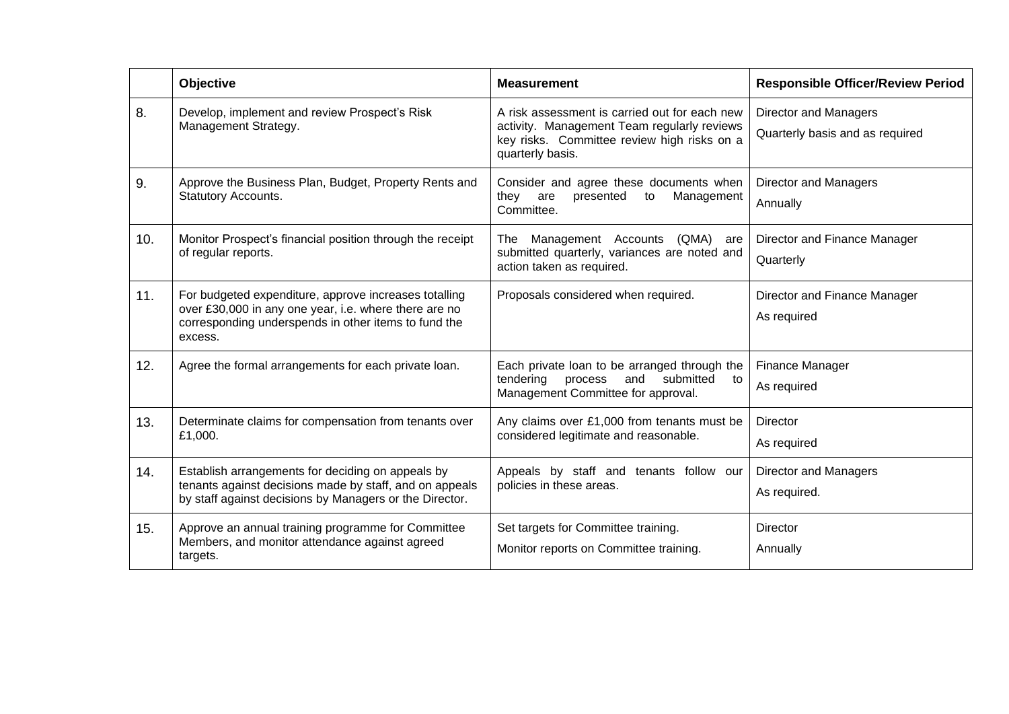|     | <b>Objective</b>                                                                                                                                                                  | <b>Measurement</b>                                                                                                                                              | <b>Responsible Officer/Review Period</b>                        |
|-----|-----------------------------------------------------------------------------------------------------------------------------------------------------------------------------------|-----------------------------------------------------------------------------------------------------------------------------------------------------------------|-----------------------------------------------------------------|
| 8.  | Develop, implement and review Prospect's Risk<br>Management Strategy.                                                                                                             | A risk assessment is carried out for each new<br>activity. Management Team regularly reviews<br>key risks. Committee review high risks on a<br>quarterly basis. | <b>Director and Managers</b><br>Quarterly basis and as required |
| 9.  | Approve the Business Plan, Budget, Property Rents and<br><b>Statutory Accounts.</b>                                                                                               | Consider and agree these documents when<br>they<br>are<br>presented<br>Management<br>to<br>Committee.                                                           | Director and Managers<br>Annually                               |
| 10. | Monitor Prospect's financial position through the receipt<br>of regular reports.                                                                                                  | Management Accounts<br>(QMA)<br>The<br>are<br>submitted quarterly, variances are noted and<br>action taken as required.                                         | Director and Finance Manager<br>Quarterly                       |
| 11. | For budgeted expenditure, approve increases totalling<br>over £30,000 in any one year, i.e. where there are no<br>corresponding underspends in other items to fund the<br>excess. | Proposals considered when required.                                                                                                                             | Director and Finance Manager<br>As required                     |
| 12. | Agree the formal arrangements for each private loan.                                                                                                                              | Each private loan to be arranged through the<br>tendering<br>process<br>and<br>submitted<br>to<br>Management Committee for approval.                            | Finance Manager<br>As required                                  |
| 13. | Determinate claims for compensation from tenants over<br>£1,000.                                                                                                                  | Any claims over £1,000 from tenants must be<br>considered legitimate and reasonable.                                                                            | Director<br>As required                                         |
| 14. | Establish arrangements for deciding on appeals by<br>tenants against decisions made by staff, and on appeals<br>by staff against decisions by Managers or the Director.           | Appeals by staff and tenants follow our<br>policies in these areas.                                                                                             | Director and Managers<br>As required.                           |
| 15. | Approve an annual training programme for Committee<br>Members, and monitor attendance against agreed<br>targets.                                                                  | Set targets for Committee training.<br>Monitor reports on Committee training.                                                                                   | Director<br>Annually                                            |